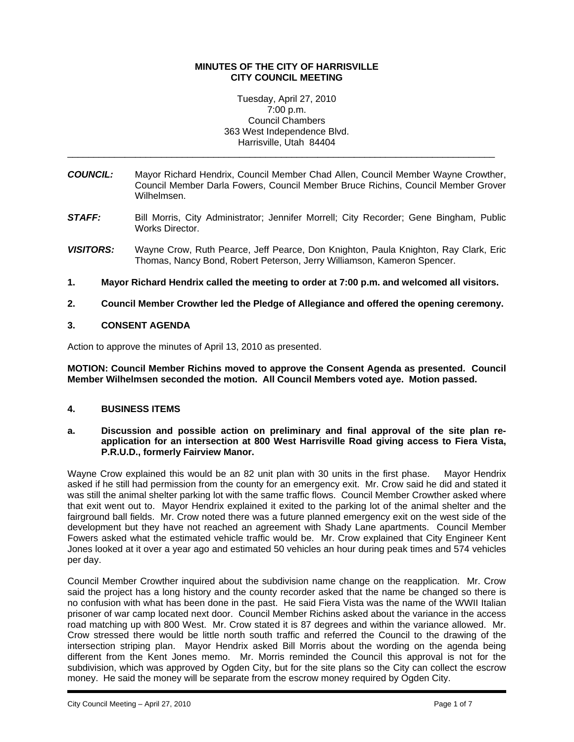### **MINUTES OF THE CITY OF HARRISVILLE CITY COUNCIL MEETING**

#### Tuesday, April 27, 2010 7:00 p.m. Council Chambers 363 West Independence Blvd. Harrisville, Utah 84404

\_\_\_\_\_\_\_\_\_\_\_\_\_\_\_\_\_\_\_\_\_\_\_\_\_\_\_\_\_\_\_\_\_\_\_\_\_\_\_\_\_\_\_\_\_\_\_\_\_\_\_\_\_\_\_\_\_\_\_\_\_\_\_\_\_\_\_\_\_\_\_\_\_\_\_\_\_\_\_\_\_\_

- *COUNCIL:* Mayor Richard Hendrix, Council Member Chad Allen, Council Member Wayne Crowther, Council Member Darla Fowers, Council Member Bruce Richins, Council Member Grover Wilhelmsen.
- **STAFF:** Bill Morris, City Administrator; Jennifer Morrell; City Recorder; Gene Bingham, Public Works Director.
- *VISITORS:* Wayne Crow, Ruth Pearce, Jeff Pearce, Don Knighton, Paula Knighton, Ray Clark, Eric Thomas, Nancy Bond, Robert Peterson, Jerry Williamson, Kameron Spencer.
- **1. Mayor Richard Hendrix called the meeting to order at 7:00 p.m. and welcomed all visitors.**
- **2. Council Member Crowther led the Pledge of Allegiance and offered the opening ceremony.**

# **3. CONSENT AGENDA**

Action to approve the minutes of April 13, 2010 as presented.

**MOTION: Council Member Richins moved to approve the Consent Agenda as presented. Council Member Wilhelmsen seconded the motion. All Council Members voted aye. Motion passed.** 

# **4. BUSINESS ITEMS**

**a. Discussion and possible action on preliminary and final approval of the site plan reapplication for an intersection at 800 West Harrisville Road giving access to Fiera Vista, P.R.U.D., formerly Fairview Manor.** 

Wayne Crow explained this would be an 82 unit plan with 30 units in the first phase. Mayor Hendrix asked if he still had permission from the county for an emergency exit. Mr. Crow said he did and stated it was still the animal shelter parking lot with the same traffic flows. Council Member Crowther asked where that exit went out to. Mayor Hendrix explained it exited to the parking lot of the animal shelter and the fairground ball fields. Mr. Crow noted there was a future planned emergency exit on the west side of the development but they have not reached an agreement with Shady Lane apartments. Council Member Fowers asked what the estimated vehicle traffic would be. Mr. Crow explained that City Engineer Kent Jones looked at it over a year ago and estimated 50 vehicles an hour during peak times and 574 vehicles per day.

Council Member Crowther inquired about the subdivision name change on the reapplication. Mr. Crow said the project has a long history and the county recorder asked that the name be changed so there is no confusion with what has been done in the past. He said Fiera Vista was the name of the WWII Italian prisoner of war camp located next door. Council Member Richins asked about the variance in the access road matching up with 800 West. Mr. Crow stated it is 87 degrees and within the variance allowed. Mr. Crow stressed there would be little north south traffic and referred the Council to the drawing of the intersection striping plan. Mayor Hendrix asked Bill Morris about the wording on the agenda being different from the Kent Jones memo. Mr. Morris reminded the Council this approval is not for the subdivision, which was approved by Ogden City, but for the site plans so the City can collect the escrow money. He said the money will be separate from the escrow money required by Ogden City.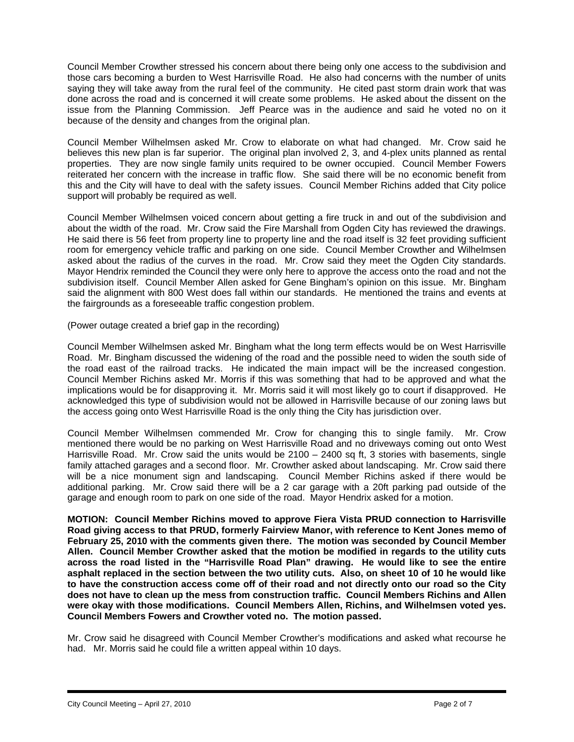Council Member Crowther stressed his concern about there being only one access to the subdivision and those cars becoming a burden to West Harrisville Road. He also had concerns with the number of units saying they will take away from the rural feel of the community. He cited past storm drain work that was done across the road and is concerned it will create some problems. He asked about the dissent on the issue from the Planning Commission. Jeff Pearce was in the audience and said he voted no on it because of the density and changes from the original plan.

Council Member Wilhelmsen asked Mr. Crow to elaborate on what had changed. Mr. Crow said he believes this new plan is far superior. The original plan involved 2, 3, and 4-plex units planned as rental properties. They are now single family units required to be owner occupied. Council Member Fowers reiterated her concern with the increase in traffic flow. She said there will be no economic benefit from this and the City will have to deal with the safety issues. Council Member Richins added that City police support will probably be required as well.

Council Member Wilhelmsen voiced concern about getting a fire truck in and out of the subdivision and about the width of the road. Mr. Crow said the Fire Marshall from Ogden City has reviewed the drawings. He said there is 56 feet from property line to property line and the road itself is 32 feet providing sufficient room for emergency vehicle traffic and parking on one side. Council Member Crowther and Wilhelmsen asked about the radius of the curves in the road. Mr. Crow said they meet the Ogden City standards. Mayor Hendrix reminded the Council they were only here to approve the access onto the road and not the subdivision itself. Council Member Allen asked for Gene Bingham's opinion on this issue. Mr. Bingham said the alignment with 800 West does fall within our standards. He mentioned the trains and events at the fairgrounds as a foreseeable traffic congestion problem.

(Power outage created a brief gap in the recording)

Council Member Wilhelmsen asked Mr. Bingham what the long term effects would be on West Harrisville Road. Mr. Bingham discussed the widening of the road and the possible need to widen the south side of the road east of the railroad tracks. He indicated the main impact will be the increased congestion. Council Member Richins asked Mr. Morris if this was something that had to be approved and what the implications would be for disapproving it. Mr. Morris said it will most likely go to court if disapproved. He acknowledged this type of subdivision would not be allowed in Harrisville because of our zoning laws but the access going onto West Harrisville Road is the only thing the City has jurisdiction over.

Council Member Wilhelmsen commended Mr. Crow for changing this to single family. Mr. Crow mentioned there would be no parking on West Harrisville Road and no driveways coming out onto West Harrisville Road. Mr. Crow said the units would be 2100 – 2400 sq ft, 3 stories with basements, single family attached garages and a second floor. Mr. Crowther asked about landscaping. Mr. Crow said there will be a nice monument sign and landscaping. Council Member Richins asked if there would be additional parking. Mr. Crow said there will be a 2 car garage with a 20ft parking pad outside of the garage and enough room to park on one side of the road. Mayor Hendrix asked for a motion.

**MOTION: Council Member Richins moved to approve Fiera Vista PRUD connection to Harrisville Road giving access to that PRUD, formerly Fairview Manor, with reference to Kent Jones memo of February 25, 2010 with the comments given there. The motion was seconded by Council Member Allen. Council Member Crowther asked that the motion be modified in regards to the utility cuts across the road listed in the "Harrisville Road Plan" drawing. He would like to see the entire asphalt replaced in the section between the two utility cuts. Also, on sheet 10 of 10 he would like to have the construction access come off of their road and not directly onto our road so the City does not have to clean up the mess from construction traffic. Council Members Richins and Allen were okay with those modifications. Council Members Allen, Richins, and Wilhelmsen voted yes. Council Members Fowers and Crowther voted no. The motion passed.** 

Mr. Crow said he disagreed with Council Member Crowther's modifications and asked what recourse he had. Mr. Morris said he could file a written appeal within 10 days.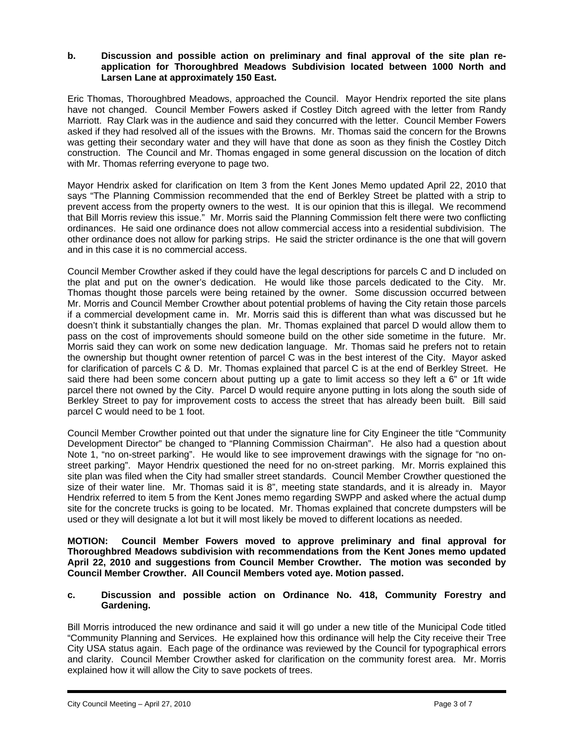#### **b. Discussion and possible action on preliminary and final approval of the site plan reapplication for Thoroughbred Meadows Subdivision located between 1000 North and Larsen Lane at approximately 150 East.**

Eric Thomas, Thoroughbred Meadows, approached the Council. Mayor Hendrix reported the site plans have not changed. Council Member Fowers asked if Costley Ditch agreed with the letter from Randy Marriott. Ray Clark was in the audience and said they concurred with the letter. Council Member Fowers asked if they had resolved all of the issues with the Browns. Mr. Thomas said the concern for the Browns was getting their secondary water and they will have that done as soon as they finish the Costley Ditch construction. The Council and Mr. Thomas engaged in some general discussion on the location of ditch with Mr. Thomas referring everyone to page two.

Mayor Hendrix asked for clarification on Item 3 from the Kent Jones Memo updated April 22, 2010 that says "The Planning Commission recommended that the end of Berkley Street be platted with a strip to prevent access from the property owners to the west. It is our opinion that this is illegal. We recommend that Bill Morris review this issue." Mr. Morris said the Planning Commission felt there were two conflicting ordinances. He said one ordinance does not allow commercial access into a residential subdivision. The other ordinance does not allow for parking strips. He said the stricter ordinance is the one that will govern and in this case it is no commercial access.

Council Member Crowther asked if they could have the legal descriptions for parcels C and D included on the plat and put on the owner's dedication. He would like those parcels dedicated to the City. Mr. Thomas thought those parcels were being retained by the owner. Some discussion occurred between Mr. Morris and Council Member Crowther about potential problems of having the City retain those parcels if a commercial development came in. Mr. Morris said this is different than what was discussed but he doesn't think it substantially changes the plan. Mr. Thomas explained that parcel D would allow them to pass on the cost of improvements should someone build on the other side sometime in the future. Mr. Morris said they can work on some new dedication language. Mr. Thomas said he prefers not to retain the ownership but thought owner retention of parcel C was in the best interest of the City. Mayor asked for clarification of parcels C & D. Mr. Thomas explained that parcel C is at the end of Berkley Street. He said there had been some concern about putting up a gate to limit access so they left a 6" or 1ft wide parcel there not owned by the City. Parcel D would require anyone putting in lots along the south side of Berkley Street to pay for improvement costs to access the street that has already been built. Bill said parcel C would need to be 1 foot.

Council Member Crowther pointed out that under the signature line for City Engineer the title "Community Development Director" be changed to "Planning Commission Chairman". He also had a question about Note 1, "no on-street parking". He would like to see improvement drawings with the signage for "no onstreet parking". Mayor Hendrix questioned the need for no on-street parking. Mr. Morris explained this site plan was filed when the City had smaller street standards. Council Member Crowther questioned the size of their water line. Mr. Thomas said it is 8", meeting state standards, and it is already in. Mayor Hendrix referred to item 5 from the Kent Jones memo regarding SWPP and asked where the actual dump site for the concrete trucks is going to be located. Mr. Thomas explained that concrete dumpsters will be used or they will designate a lot but it will most likely be moved to different locations as needed.

**MOTION: Council Member Fowers moved to approve preliminary and final approval for Thoroughbred Meadows subdivision with recommendations from the Kent Jones memo updated April 22, 2010 and suggestions from Council Member Crowther. The motion was seconded by Council Member Crowther. All Council Members voted aye. Motion passed.** 

# **c. Discussion and possible action on Ordinance No. 418, Community Forestry and Gardening.**

Bill Morris introduced the new ordinance and said it will go under a new title of the Municipal Code titled "Community Planning and Services. He explained how this ordinance will help the City receive their Tree City USA status again. Each page of the ordinance was reviewed by the Council for typographical errors and clarity. Council Member Crowther asked for clarification on the community forest area. Mr. Morris explained how it will allow the City to save pockets of trees.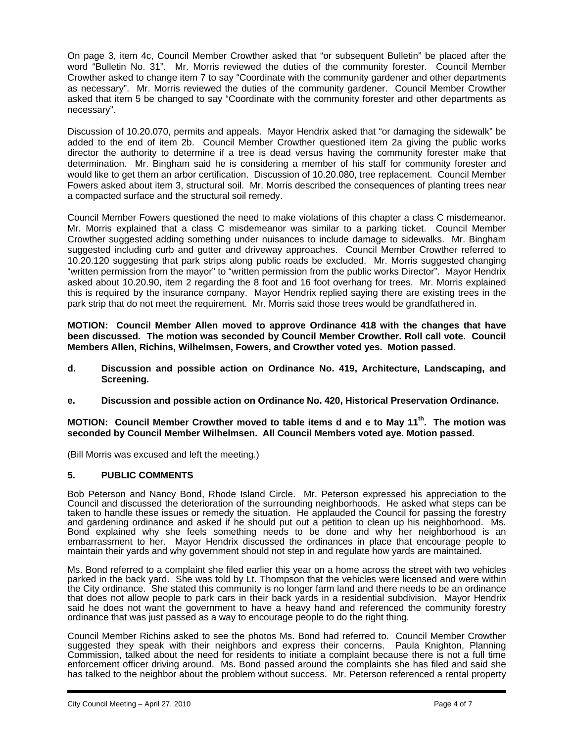On page 3, item 4c, Council Member Crowther asked that "or subsequent Bulletin" be placed after the word "Bulletin No. 31". Mr. Morris reviewed the duties of the community forester. Council Member Crowther asked to change item 7 to say "Coordinate with the community gardener and other departments as necessary". Mr. Morris reviewed the duties of the community gardener. Council Member Crowther asked that item 5 be changed to say "Coordinate with the community forester and other departments as necessary".

Discussion of 10.20.070, permits and appeals. Mayor Hendrix asked that "or damaging the sidewalk" be added to the end of item 2b. Council Member Crowther questioned item 2a giving the public works director the authority to determine if a tree is dead versus having the community forester make that determination. Mr. Bingham said he is considering a member of his staff for community forester and would like to get them an arbor certification. Discussion of 10.20.080, tree replacement. Council Member Fowers asked about item 3, structural soil. Mr. Morris described the consequences of planting trees near a compacted surface and the structural soil remedy.

Council Member Fowers questioned the need to make violations of this chapter a class C misdemeanor. Mr. Morris explained that a class C misdemeanor was similar to a parking ticket. Council Member Crowther suggested adding something under nuisances to include damage to sidewalks. Mr. Bingham suggested including curb and gutter and driveway approaches. Council Member Crowther referred to 10.20.120 suggesting that park strips along public roads be excluded. Mr. Morris suggested changing "written permission from the mayor" to "written permission from the public works Director". Mayor Hendrix asked about 10.20.90, item 2 regarding the 8 foot and 16 foot overhang for trees. Mr. Morris explained this is required by the insurance company. Mayor Hendrix replied saying there are existing trees in the park strip that do not meet the requirement. Mr. Morris said those trees would be grandfathered in.

**MOTION: Council Member Allen moved to approve Ordinance 418 with the changes that have been discussed. The motion was seconded by Council Member Crowther. Roll call vote. Council Members Allen, Richins, Wilhelmsen, Fowers, and Crowther voted yes. Motion passed.** 

- **d. Discussion and possible action on Ordinance No. 419, Architecture, Landscaping, and Screening.**
- **e. Discussion and possible action on Ordinance No. 420, Historical Preservation Ordinance.**

**MOTION: Council Member Crowther moved to table items d and e to May 11th. The motion was seconded by Council Member Wilhelmsen. All Council Members voted aye. Motion passed.** 

(Bill Morris was excused and left the meeting.)

#### **5. PUBLIC COMMENTS**

Bob Peterson and Nancy Bond, Rhode Island Circle. Mr. Peterson expressed his appreciation to the Council and discussed the deterioration of the surrounding neighborhoods. He asked what steps can be taken to handle these issues or remedy the situation. He applauded the Council for passing the forestry and gardening ordinance and asked if he should put out a petition to clean up his neighborhood. Ms. Bond explained why she feels something needs to be done and why her neighborhood is an embarrassment to her. Mayor Hendrix discussed the ordinances in place that encourage people to maintain their yards and why government should not step in and regulate how yards are maintained.

Ms. Bond referred to a complaint she filed earlier this year on a home across the street with two vehicles parked in the back yard. She was told by Lt. Thompson that the vehicles were licensed and were within the City ordinance. She stated this community is no longer farm land and there needs to be an ordinance that does not allow people to park cars in their back yards in a residential subdivision. Mayor Hendrix said he does not want the government to have a heavy hand and referenced the community forestry ordinance that was just passed as a way to encourage people to do the right thing.

Council Member Richins asked to see the photos Ms. Bond had referred to. Council Member Crowther suggested they speak with their neighbors and express their concerns. Paula Knighton, Planning Commission, talked about the need for residents to initiate a complaint because there is not a full time enforcement officer driving around. Ms. Bond passed around the complaints she has filed and said she has talked to the neighbor about the problem without success. Mr. Peterson referenced a rental property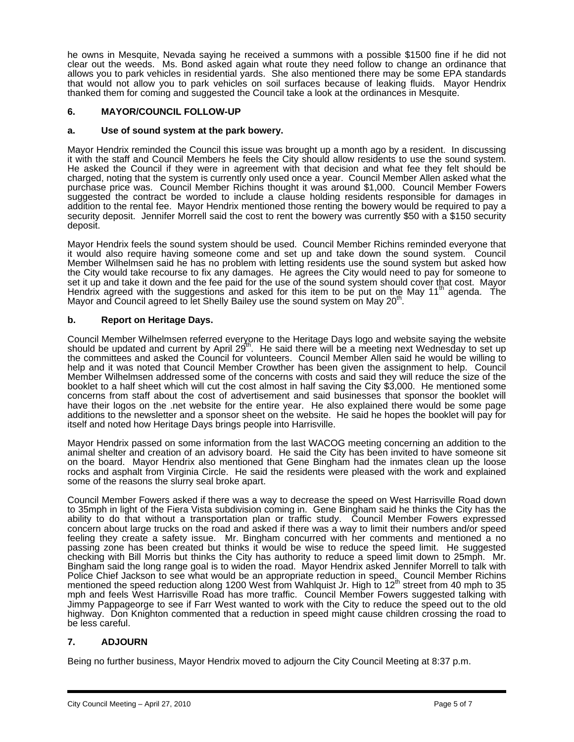he owns in Mesquite, Nevada saying he received a summons with a possible \$1500 fine if he did not clear out the weeds. Ms. Bond asked again what route they need follow to change an ordinance that allows you to park vehicles in residential yards. She also mentioned there may be some EPA standards that would not allow you to park vehicles on soil surfaces because of leaking fluids. Mayor Hendrix thanked them for coming and suggested the Council take a look at the ordinances in Mesquite.

# **6. MAYOR/COUNCIL FOLLOW-UP**

### **a. Use of sound system at the park bowery.**

Mayor Hendrix reminded the Council this issue was brought up a month ago by a resident. In discussing it with the staff and Council Members he feels the City should allow residents to use the sound system. He asked the Council if they were in agreement with that decision and what fee they felt should be charged, noting that the system is currently only used once a year. Council Member Allen asked what the purchase price was. Council Member Richins thought it was around \$1,000. Council Member Fowers suggested the contract be worded to include a clause holding residents responsible for damages in addition to the rental fee. Mayor Hendrix mentioned those renting the bowery would be required to pay a security deposit. Jennifer Morrell said the cost to rent the bowery was currently \$50 with a \$150 security deposit.

Mayor Hendrix feels the sound system should be used. Council Member Richins reminded everyone that it would also require having someone come and set up and take down the sound system. Council Member Wilhelmsen said he has no problem with letting residents use the sound system but asked how the City would take recourse to fix any damages. He agrees the City would need to pay for someone to set it up and take it down and the fee paid for the use of the sound system should cover that cost. Mayor<br>Hendrix agreed with the suggestions and asked for this item to be put on the May 11<sup>th</sup> agenda. The Mayor and Council agreed to let Shelly Bailey use the sound system on May 20<sup>th</sup>.

# **b. Report on Heritage Days.**

Council Member Wilhelmsen referred everyone to the Heritage Days logo and website saying the website should be updated and current by April 29 $^{\text{m}}$ . He said there will be a meeting next Wednesday to set up the committees and asked the Council for volunteers. Council Member Allen said he would be willing to help and it was noted that Council Member Crowther has been given the assignment to help. Council Member Wilhelmsen addressed some of the concerns with costs and said they will reduce the size of the booklet to a half sheet which will cut the cost almost in half saving the City \$3,000. He mentioned some concerns from staff about the cost of advertisement and said businesses that sponsor the booklet will have their logos on the .net website for the entire year. He also explained there would be some page additions to the newsletter and a sponsor sheet on the website. He said he hopes the booklet will pay for itself and noted how Heritage Days brings people into Harrisville.

Mayor Hendrix passed on some information from the last WACOG meeting concerning an addition to the animal shelter and creation of an advisory board. He said the City has been invited to have someone sit on the board. Mayor Hendrix also mentioned that Gene Bingham had the inmates clean up the loose rocks and asphalt from Virginia Circle. He said the residents were pleased with the work and explained some of the reasons the slurry seal broke apart.

Council Member Fowers asked if there was a way to decrease the speed on West Harrisville Road down to 35mph in light of the Fiera Vista subdivision coming in. Gene Bingham said he thinks the City has the ability to do that without a transportation plan or traffic study. Council Member Fowers expressed concern about large trucks on the road and asked if there was a way to limit their numbers and/or speed feeling they create a safety issue. Mr. Bingham concurred with her comments and mentioned a no passing zone has been created but thinks it would be wise to reduce the speed limit. He suggested checking with Bill Morris but thinks the City has authority to reduce a speed limit down to 25mph. Mr. Bingham said the long range goal is to widen the road. Mayor Hendrix asked Jennifer Morrell to talk with Police Chief Jackson to see what would be an appropriate reduction in speed. Council Member Richins mentioned the speed reduction along 1200 West from Wahlquist Jr. High to 12<sup>th</sup> street from 40 mph to 35 mph and feels West Harrisville Road has more traffic. Council Member Fowers suggested talking with Jimmy Pappageorge to see if Farr West wanted to work with the City to reduce the speed out to the old highway. Don Knighton commented that a reduction in speed might cause children crossing the road to be less careful.

# **7. ADJOURN**

i

Being no further business, Mayor Hendrix moved to adjourn the City Council Meeting at 8:37 p.m.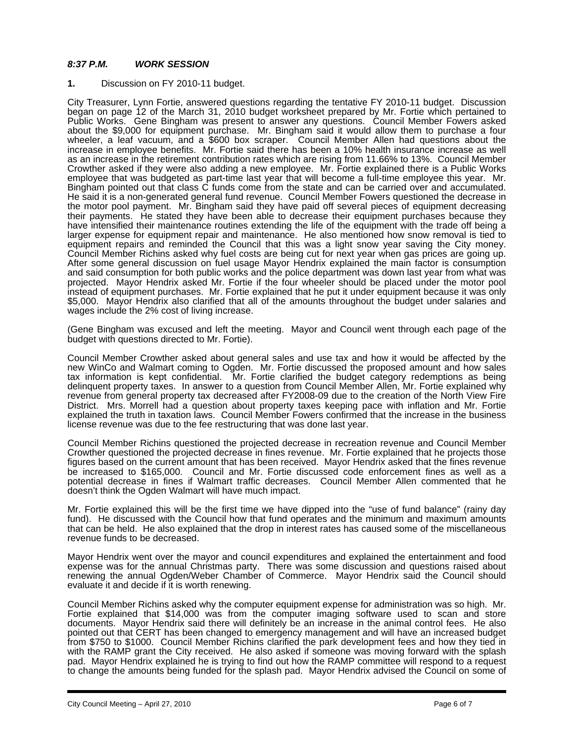# *8:37 P.M. WORK SESSION*

#### **1.** Discussion on FY 2010-11 budget.

City Treasurer, Lynn Fortie, answered questions regarding the tentative FY 2010-11 budget. Discussion began on page 12 of the March 31, 2010 budget worksheet prepared by Mr. Fortie which pertained to Public Works. Gene Bingham was present to answer any questions. Council Member Fowers asked about the \$9,000 for equipment purchase. Mr. Bingham said it would allow them to purchase a four wheeler, a leaf vacuum, and a \$600 box scraper. Council Member Allen had questions about the increase in employee benefits. Mr. Fortie said there has been a 10% health insurance increase as well as an increase in the retirement contribution rates which are rising from 11.66% to 13%. Council Member Crowther asked if they were also adding a new employee. Mr. Fortie explained there is a Public Works employee that was budgeted as part-time last year that will become a full-time employee this year. Mr. Bingham pointed out that class C funds come from the state and can be carried over and accumulated. He said it is a non-generated general fund revenue. Council Member Fowers questioned the decrease in the motor pool payment. Mr. Bingham said they have paid off several pieces of equipment decreasing their payments. He stated they have been able to decrease their equipment purchases because they have intensified their maintenance routines extending the life of the equipment with the trade off being a larger expense for equipment repair and maintenance. He also mentioned how snow removal is tied to equipment repairs and reminded the Council that this was a light snow year saving the City money. Council Member Richins asked why fuel costs are being cut for next year when gas prices are going up. After some general discussion on fuel usage Mayor Hendrix explained the main factor is consumption and said consumption for both public works and the police department was down last year from what was projected. Mayor Hendrix asked Mr. Fortie if the four wheeler should be placed under the motor pool instead of equipment purchases. Mr. Fortie explained that he put it under equipment because it was only \$5,000. Mayor Hendrix also clarified that all of the amounts throughout the budget under salaries and wages include the 2% cost of living increase.

(Gene Bingham was excused and left the meeting. Mayor and Council went through each page of the budget with questions directed to Mr. Fortie).

Council Member Crowther asked about general sales and use tax and how it would be affected by the new WinCo and Walmart coming to Ogden. Mr. Fortie discussed the proposed amount and how sales tax information is kept confidential. Mr. Fortie clarified the budget category redemptions as being delinquent property taxes. In answer to a question from Council Member Allen, Mr. Fortie explained why revenue from general property tax decreased after FY2008-09 due to the creation of the North View Fire District. Mrs. Morrell had a question about property taxes keeping pace with inflation and Mr. Fortie explained the truth in taxation laws. Council Member Fowers confirmed that the increase in the business license revenue was due to the fee restructuring that was done last year.

Council Member Richins questioned the projected decrease in recreation revenue and Council Member Crowther questioned the projected decrease in fines revenue. Mr. Fortie explained that he projects those figures based on the current amount that has been received. Mayor Hendrix asked that the fines revenue be increased to \$165,000. Council and Mr. Fortie discussed code enforcement fines as well as a potential decrease in fines if Walmart traffic decreases. Council Member Allen commented that he doesn't think the Ogden Walmart will have much impact.

Mr. Fortie explained this will be the first time we have dipped into the "use of fund balance" (rainy day fund). He discussed with the Council how that fund operates and the minimum and maximum amounts that can be held. He also explained that the drop in interest rates has caused some of the miscellaneous revenue funds to be decreased.

Mayor Hendrix went over the mayor and council expenditures and explained the entertainment and food expense was for the annual Christmas party. There was some discussion and questions raised about renewing the annual Ogden/Weber Chamber of Commerce. Mayor Hendrix said the Council should evaluate it and decide if it is worth renewing.

Council Member Richins asked why the computer equipment expense for administration was so high. Mr. Fortie explained that \$14,000 was from the computer imaging software used to scan and store documents. Mayor Hendrix said there will definitely be an increase in the animal control fees. He also pointed out that CERT has been changed to emergency management and will have an increased budget from \$750 to \$1000. Council Member Richins clarified the park development fees and how they tied in with the RAMP grant the City received. He also asked if someone was moving forward with the splash pad. Mayor Hendrix explained he is trying to find out how the RAMP committee will respond to a request to change the amounts being funded for the splash pad. Mayor Hendrix advised the Council on some of